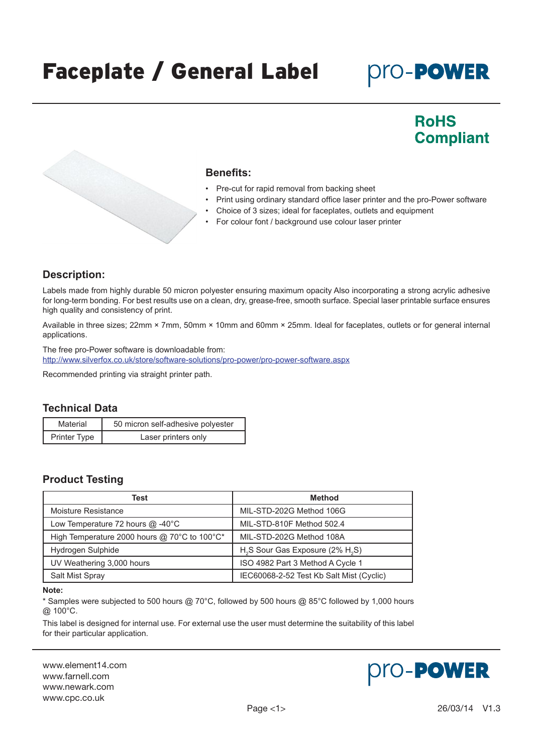# Faceplate / General Label

## **pro-PowER**

### **RoHS Compliant**

#### **Benefits:**

- Pre-cut for rapid removal from backing sheet
- Print using ordinary standard office laser printer and the pro-Power software
- Choice of 3 sizes; ideal for faceplates, outlets and equipment
- For colour font / background use colour laser printer

#### **Description:**

Labels made from highly durable 50 micron polyester ensuring maximum opacity Also incorporating a strong acrylic adhesive for long-term bonding. For best results use on a clean, dry, grease-free, smooth surface. Special laser printable surface ensures high quality and consistency of print.

Available in three sizes; 22mm × 7mm, 50mm × 10mm and 60mm × 25mm. Ideal for faceplates, outlets or for general internal applications.

The free pro-Power software is downloadable from: http:/[/www.silverfox.co.uk/store/software-solutions/pro-power/pro-power-software.aspx](http://www.silverfox.co.uk/store/software-solutions/pro-power/pro-power-software.aspx)

Recommended printing via straight printer path.

#### **Technical Data**

| Material     | 50 micron self-adhesive polyester |
|--------------|-----------------------------------|
| Printer Type | Laser printers only               |

#### **Product Testing**

| Test                                         | <b>Method</b>                                            |  |  |
|----------------------------------------------|----------------------------------------------------------|--|--|
| Moisture Resistance                          | MIL-STD-202G Method 106G                                 |  |  |
| Low Temperature 72 hours @ -40°C             | MIL-STD-810F Method 502.4                                |  |  |
| High Temperature 2000 hours @ 70°C to 100°C* | MIL-STD-202G Method 108A                                 |  |  |
| Hydrogen Sulphide                            | H <sub>2</sub> S Sour Gas Exposure (2% H <sub>2</sub> S) |  |  |
| UV Weathering 3,000 hours                    | ISO 4982 Part 3 Method A Cycle 1                         |  |  |
| Salt Mist Spray                              | IEC60068-2-52 Test Kb Salt Mist (Cyclic)                 |  |  |

#### **Note:**

\* Samples were subjected to 500 hours @ 70°C, followed by 500 hours @ 85°C followed by 1,000 hours @ 100°C.

This label is designed for internal use. For external use the user must determine the suitability of this label for their particular application.

www.element14.com www.farnell.com www.newark.com www.cpc.co.uk